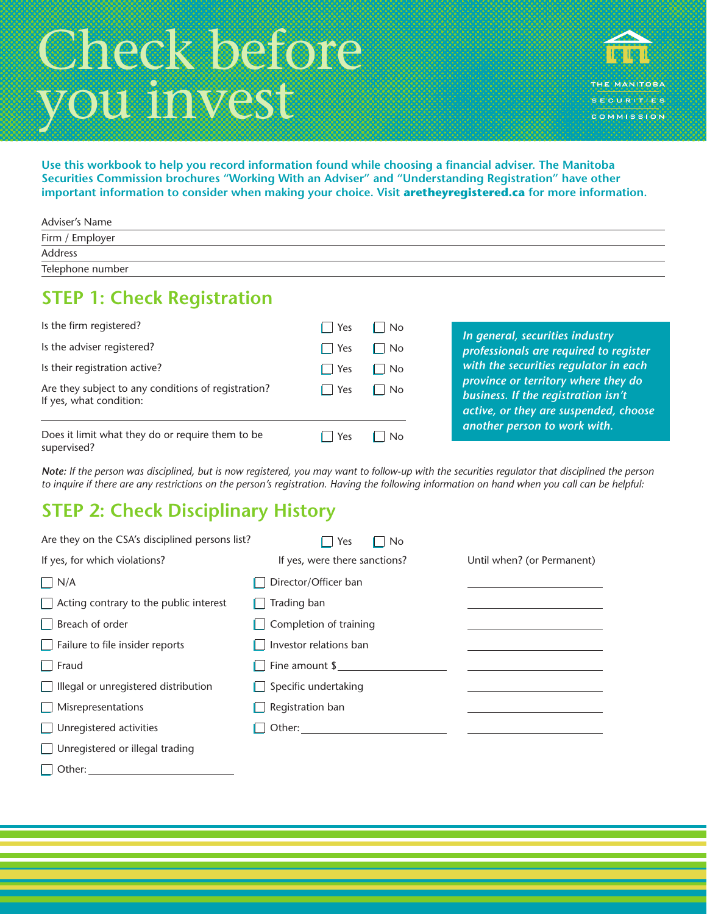# Check before you invest



**Use this workbook to help you record information found while choosing a financial adviser. The Manitoba Securities Commission brochures "Working With an Adviser" and "Understanding Registration" have other important information to consider when making your choice. Visit aretheyregistered.ca for more information.**

| Adviser's Name   |  |
|------------------|--|
| Firm / Employer  |  |
| Address          |  |
| Telephone number |  |

## **STEP 1: Check Registration**

| Is the firm registered?                                                        | $Yes \Box$         | $\overline{\phantom{a}}$ No |
|--------------------------------------------------------------------------------|--------------------|-----------------------------|
| Is the adviser registered?                                                     | $\parallel$ Yes    | $\overline{\phantom{a}}$ No |
| Is their registration active?                                                  | $\blacksquare$ Yes | $\blacksquare$ No           |
| Are they subject to any conditions of registration?<br>If yes, what condition: | $\parallel$ Yes    | $\blacksquare$ No           |
| Does it limit what they do or require them to be<br>supervised?                | Yes                | No                          |

*In general, securities industry professionals are required to register with the securities regulator in each province or territory where they do business. If the registration isn't active, or they are suspended, choose another person to work with.*

supervised?

*Note: If the person was disciplined, but is now registered, you may want to follow-up with the securities regulator that disciplined the person to inquire if there are any restrictions on the person's registration. Having the following information on hand when you call can be helpful:*

# **STEP 2: Check Disciplinary History**

| Are they on the CSA's disciplined persons list? | Yes<br><b>No</b>              |                            |
|-------------------------------------------------|-------------------------------|----------------------------|
| If yes, for which violations?                   | If yes, were there sanctions? | Until when? (or Permanent) |
| $\Box$ N/A                                      | Director/Officer ban          |                            |
| $\Box$ Acting contrary to the public interest   | $\Box$ Trading ban            |                            |
| $\Box$ Breach of order                          | Completion of training        |                            |
| $\Box$ Failure to file insider reports          | $\Box$ Investor relations ban |                            |
| $\Box$ Fraud                                    | $\Box$ Fine amount \$         |                            |
| $\Box$ Illegal or unregistered distribution     | $\Box$ Specific undertaking   |                            |
| Misrepresentations                              | Registration ban              |                            |
| Unregistered activities                         | Other: $\_\_$                 |                            |
| $\Box$ Unregistered or illegal trading          |                               |                            |

| Other: |  |
|--------|--|
|        |  |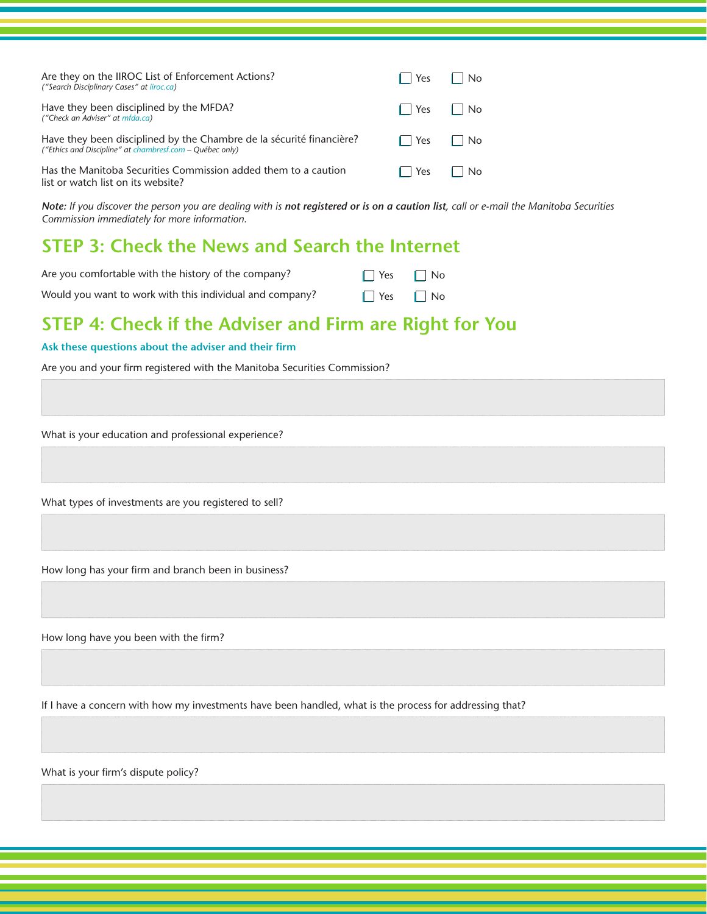| Are they on the IIROC List of Enforcement Actions?<br>("Search Disciplinary Cases" at iiroc.ca)                                  | Yes                                | $\mathsf{I}$ $\mathsf{No}$ |
|----------------------------------------------------------------------------------------------------------------------------------|------------------------------------|----------------------------|
| Have they been disciplined by the MFDA?<br>("Check an Adviser" at mfda.ca)                                                       | $\parallel$   Yes $\parallel$   No |                            |
| Have they been disciplined by the Chambre de la sécurité financière?<br>("Ethics and Discipline" at chambresf.com – Québec only) | $\parallel$ $\parallel$ Yes        | $\mathsf{I}$ No            |
| Has the Manitoba Securities Commission added them to a caution<br>list or watch list on its website?                             | $\sqrt{1 + 1}$ Yes                 | <b>No</b>                  |

*Note: If you discover the person you are dealing with is not registered or is on a caution list, call or e-mail the Manitoba Securities Commission immediately for more information.*

## **STEP 3: Check the News and Search the Internet**

| Are you comfortable with the history of the company?     | $\Box$ Yes $\Box$ No |  |
|----------------------------------------------------------|----------------------|--|
| Would you want to work with this individual and company? | $\Box$ Yes $\Box$ No |  |

## **STEP 4: Check if the Adviser and Firm are Right for You**

#### **Ask these questions about the adviser and their firm**

Are you and your firm registered with the Manitoba Securities Commission?

What is your education and professional experience?

What types of investments are you registered to sell?

How long has your firm and branch been in business?

How long have you been with the firm?

If I have a concern with how my investments have been handled, what is the process for addressing that?

What is your firm's dispute policy?